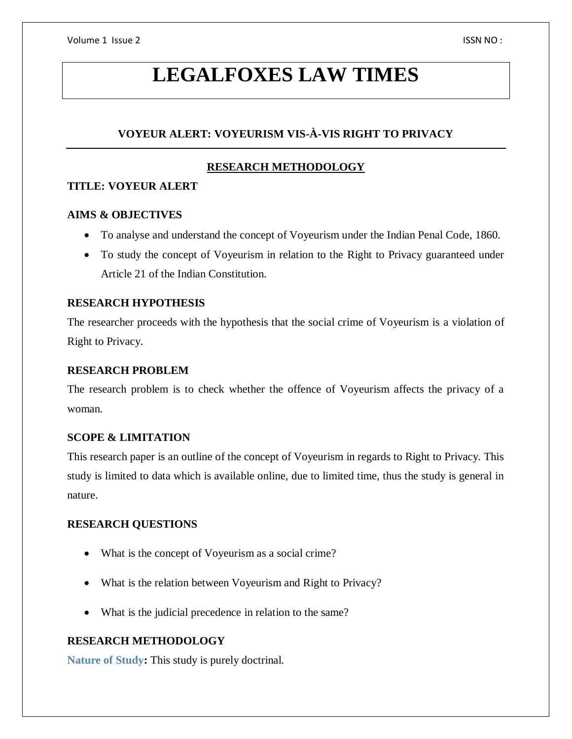# **LEGALFOXES LAW TIMES**

# **VOYEUR ALERT: VOYEURISM VIS-À-VIS RIGHT TO PRIVACY**

# **RESEARCH METHODOLOGY**

# **TITLE: VOYEUR ALERT**

# **AIMS & OBJECTIVES**

- To analyse and understand the concept of Voyeurism under the Indian Penal Code, 1860.
- To study the concept of Voyeurism in relation to the Right to Privacy guaranteed under Article 21 of the Indian Constitution.

# **RESEARCH HYPOTHESIS**

The researcher proceeds with the hypothesis that the social crime of Voyeurism is a violation of Right to Privacy.

# **RESEARCH PROBLEM**

The research problem is to check whether the offence of Voyeurism affects the privacy of a woman.

# **SCOPE & LIMITATION**

This research paper is an outline of the concept of Voyeurism in regards to Right to Privacy. This study is limited to data which is available online, due to limited time, thus the study is general in nature.

# **RESEARCH QUESTIONS**

- What is the concept of Voyeurism as a social crime?
- What is the relation between Voyeurism and Right to Privacy?
- What is the judicial precedence in relation to the same?

# **RESEARCH METHODOLOGY**

**Nature of Study:** This study is purely doctrinal.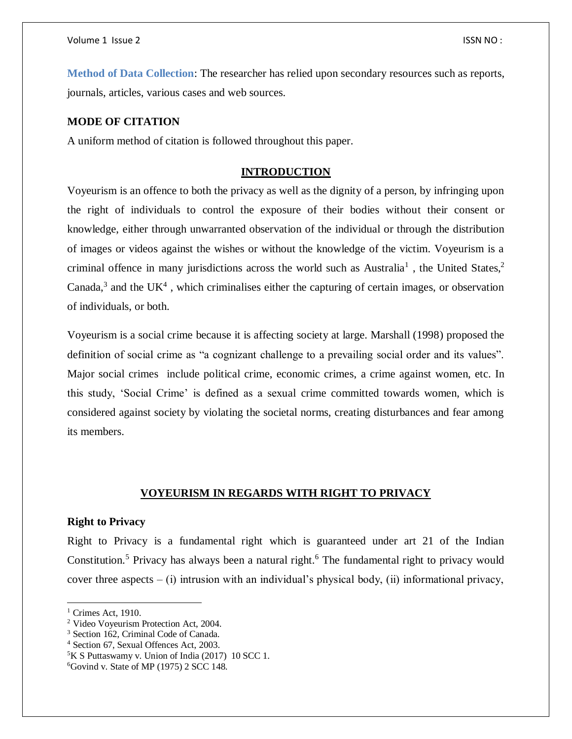**Method of Data Collection**: The researcher has relied upon secondary resources such as reports, journals, articles, various cases and web sources.

# **MODE OF CITATION**

A uniform method of citation is followed throughout this paper.

# **INTRODUCTION**

Voyeurism is an offence to both the privacy as well as the dignity of a person, by infringing upon the right of individuals to control the exposure of their bodies without their consent or knowledge, either through unwarranted observation of the individual or through the distribution of images or videos against the wishes or without the knowledge of the victim. Voyeurism is a criminal offence in many jurisdictions across the world such as Australia<sup>1</sup>, the United States,<sup>2</sup> Canada,<sup>3</sup> and the UK<sup>4</sup>, which criminalises either the capturing of certain images, or observation of individuals, or both.

Voyeurism is a social crime because it is affecting society at large. Marshall (1998) proposed the definition of social crime as "a cognizant challenge to a prevailing social order and its values". Major social crimes include political crime, economic crimes, a crime against women, etc. In this study, 'Social Crime' is defined as a sexual crime committed towards women, which is considered against society by violating the societal norms, creating disturbances and fear among its members.

## **VOYEURISM IN REGARDS WITH RIGHT TO PRIVACY**

## **Right to Privacy**

Right to Privacy is a fundamental right which is guaranteed under art 21 of the Indian Constitution.<sup>5</sup> Privacy has always been a natural right.<sup>6</sup> The fundamental right to privacy would cover three aspects  $-$  (i) intrusion with an individual's physical body, (ii) informational privacy,

 $\overline{a}$ 

 $<sup>1</sup>$  Crimes Act, 1910.</sup>

<sup>2</sup> Video Voyeurism Protection Act, 2004.

<sup>3</sup> Section 162, Criminal Code of Canada.

<sup>4</sup> Section 67, Sexual Offences Act, 2003.

<sup>5</sup>K S Puttaswamy v. Union of India (2017) 10 SCC 1.

 $6$ Govind v. State of MP (1975) 2 SCC 148.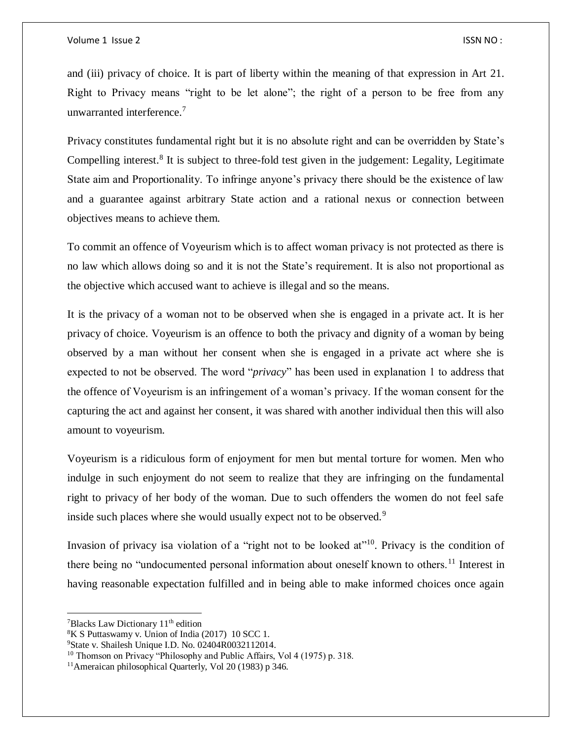#### Volume 1 Issue 2 ISSN NO :

and (iii) privacy of choice. It is part of liberty within the meaning of that expression in Art 21. Right to Privacy means "right to be let alone"; the right of a person to be free from any unwarranted interference.<sup>7</sup>

Privacy constitutes fundamental right but it is no absolute right and can be overridden by State's Compelling interest.<sup>8</sup> It is subject to three-fold test given in the judgement: Legality, Legitimate State aim and Proportionality. To infringe anyone's privacy there should be the existence of law and a guarantee against arbitrary State action and a rational nexus or connection between objectives means to achieve them.

To commit an offence of Voyeurism which is to affect woman privacy is not protected as there is no law which allows doing so and it is not the State's requirement. It is also not proportional as the objective which accused want to achieve is illegal and so the means.

It is the privacy of a woman not to be observed when she is engaged in a private act. It is her privacy of choice. Voyeurism is an offence to both the privacy and dignity of a woman by being observed by a man without her consent when she is engaged in a private act where she is expected to not be observed. The word "*privacy*" has been used in explanation 1 to address that the offence of Voyeurism is an infringement of a woman's privacy. If the woman consent for the capturing the act and against her consent, it was shared with another individual then this will also amount to voyeurism.

Voyeurism is a ridiculous form of enjoyment for men but mental torture for women. Men who indulge in such enjoyment do not seem to realize that they are infringing on the fundamental right to privacy of her body of the woman. Due to such offenders the women do not feel safe inside such places where she would usually expect not to be observed*.* 9

Invasion of privacy isa violation of a "right not to be looked at"<sup>10</sup>. Privacy is the condition of there being no "undocumented personal information about oneself known to others.<sup>11</sup> Interest in having reasonable expectation fulfilled and in being able to make informed choices once again

 $\overline{\phantom{a}}$ 

<sup>&</sup>lt;sup>7</sup>Blacks Law Dictionary 11<sup>th</sup> edition

 $8K S$  Puttaswamy v. Union of India (2017) 10 SCC 1.

<sup>&</sup>lt;sup>9</sup>State v. Shailesh Unique I.D. No. 02404R0032112014.

<sup>&</sup>lt;sup>10</sup> Thomson on Privacy "Philosophy and Public Affairs, Vol 4 (1975) p. 318.

<sup>11</sup>Ameraican philosophical Quarterly, Vol 20 (1983) p 346.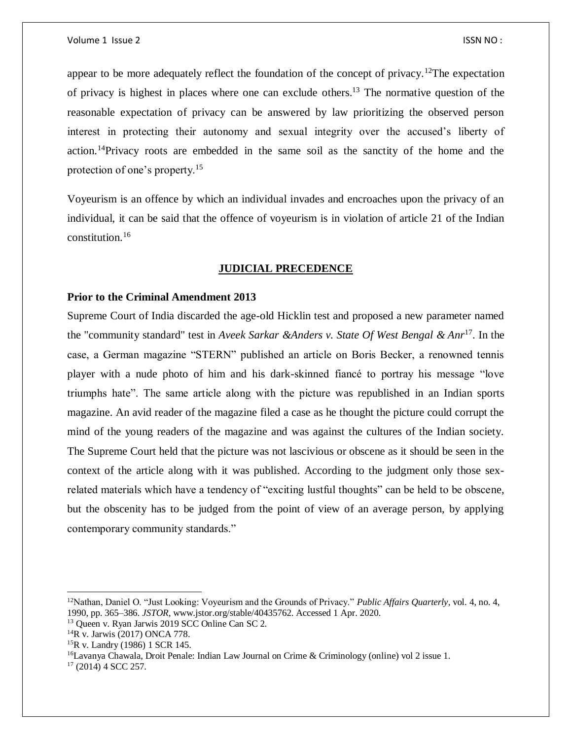appear to be more adequately reflect the foundation of the concept of privacy.<sup>12</sup>The expectation of privacy is highest in places where one can exclude others.<sup>13</sup> The normative question of the reasonable expectation of privacy can be answered by law prioritizing the observed person interest in protecting their autonomy and sexual integrity over the accused's liberty of action.<sup>14</sup>Privacy roots are embedded in the same soil as the sanctity of the home and the protection of one's property.<sup>15</sup>

Voyeurism is an offence by which an individual invades and encroaches upon the privacy of an individual, it can be said that the offence of voyeurism is in violation of article 21 of the Indian constitution.<sup>16</sup>

# **JUDICIAL PRECEDENCE**

## **Prior to the Criminal Amendment 2013**

Supreme Court of India discarded the age-old Hicklin test and proposed a new parameter named the "community standard" test in *Aveek Sarkar &Anders v. State Of West Bengal & Anr*<sup>17</sup>. In the case, a German magazine "STERN" published an article on Boris Becker, a renowned tennis player with a nude photo of him and his dark-skinned fiancé to portray his message "love triumphs hate". The same article along with the picture was republished in an Indian sports magazine. An avid reader of the magazine filed a case as he thought the picture could corrupt the mind of the young readers of the magazine and was against the cultures of the Indian society. The Supreme Court held that the picture was not lascivious or obscene as it should be seen in the context of the article along with it was published. According to the judgment only those sexrelated materials which have a tendency of "exciting lustful thoughts" can be held to be obscene, but the obscenity has to be judged from the point of view of an average person, by applying contemporary community standards."

 $\overline{\phantom{a}}$ 

<sup>12</sup>Nathan, Daniel O. "Just Looking: Voyeurism and the Grounds of Privacy." *Public Affairs Quarterly*, vol. 4, no. 4, 1990, pp. 365–386. *JSTOR*, www.jstor.org/stable/40435762. Accessed 1 Apr. 2020.

<sup>13</sup> Queen v. Ryan Jarwis 2019 SCC Online Can SC 2.

<sup>14</sup>R v. Jarwis (2017) ONCA 778.

<sup>15</sup>R v. Landry (1986) 1 SCR 145.

<sup>16</sup>Lavanya Chawala, Droit Penale: Indian Law Journal on Crime & Criminology (online) vol 2 issue 1.

 $17$  (2014) 4 SCC 257.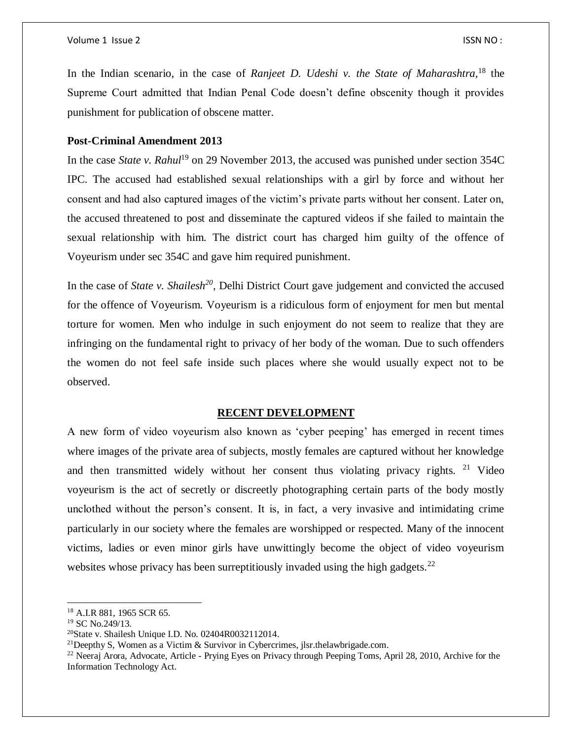In the Indian scenario, in the case of *Ranjeet D. Udeshi v. the State of Maharashtra,* <sup>18</sup> the Supreme Court admitted that Indian Penal Code doesn't define obscenity though it provides punishment for publication of obscene matter.

# **Post-Criminal Amendment 2013**

In the case *State v. Rahul*<sup>19</sup> on 29 November 2013, the accused was punished under section 354C IPC. The accused had established sexual relationships with a girl by force and without her consent and had also captured images of the victim's private parts without her consent. Later on, the accused threatened to post and disseminate the captured videos if she failed to maintain the sexual relationship with him. The district court has charged him guilty of the offence of Voyeurism under sec 354C and gave him required punishment.

In the case of *State v. Shailesh*<sup>20</sup>, Delhi District Court gave judgement and convicted the accused for the offence of Voyeurism. Voyeurism is a ridiculous form of enjoyment for men but mental torture for women. Men who indulge in such enjoyment do not seem to realize that they are infringing on the fundamental right to privacy of her body of the woman. Due to such offenders the women do not feel safe inside such places where she would usually expect not to be observed.

# **RECENT DEVELOPMENT**

A new form of video voyeurism also known as 'cyber peeping' has emerged in recent times where images of the private area of subjects, mostly females are captured without her knowledge and then transmitted widely without her consent thus violating privacy rights.  $21$  Video voyeurism is the act of secretly or discreetly photographing certain parts of the body mostly unclothed without the person's consent. It is, in fact, a very invasive and intimidating crime particularly in our society where the females are worshipped or respected. Many of the innocent victims, ladies or even minor girls have unwittingly become the object of video voyeurism websites whose privacy has been surreptitiously invaded using the high gadgets.<sup>22</sup>

 $\overline{a}$ 

<sup>18</sup> A.I.R 881, 1965 SCR 65.

<sup>19</sup> SC No.249/13.

<sup>20</sup>State v. Shailesh Unique I.D. No. 02404R0032112014.

<sup>&</sup>lt;sup>21</sup>Deepthy S, Women as a Victim & Survivor in Cybercrimes, jlsr.thelawbrigade.com.

<sup>&</sup>lt;sup>22</sup> Neeraj Arora, Advocate, Article - Prying Eyes on Privacy through Peeping Toms, April 28, 2010, Archive for the Information Technology Act.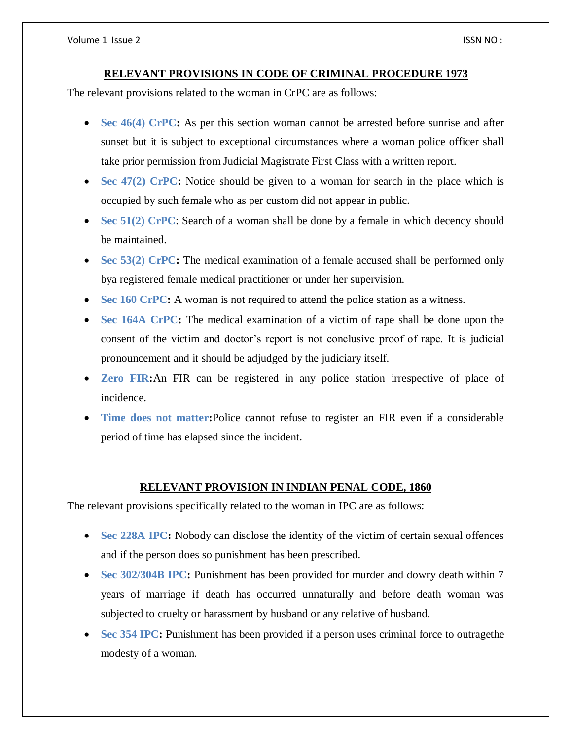## **RELEVANT PROVISIONS IN CODE OF CRIMINAL PROCEDURE 1973**

The relevant provisions related to the woman in CrPC are as follows:

- Sec 46(4) CrPC: As per this section woman cannot be arrested before sunrise and after sunset but it is subject to exceptional circumstances where a woman police officer shall take prior permission from Judicial Magistrate First Class with a written report.
- Sec 47(2) CrPC: Notice should be given to a woman for search in the place which is occupied by such female who as per custom did not appear in public.
- Sec 51(2) CrPC: Search of a woman shall be done by a female in which decency should be maintained.
- Sec 53(2) CrPC: The medical examination of a female accused shall be performed only bya registered female medical practitioner or under her supervision.
- Sec 160 CrPC: A woman is not required to attend the police station as a witness.
- Sec 164A CrPC: The medical examination of a victim of rape shall be done upon the consent of the victim and doctor's report is not conclusive proof of rape. It is judicial pronouncement and it should be adjudged by the judiciary itself.
- **Zero FIR:**An FIR can be registered in any police station irrespective of place of incidence.
- **Time does not matter:**Police cannot refuse to register an FIR even if a considerable period of time has elapsed since the incident.

# **RELEVANT PROVISION IN INDIAN PENAL CODE, 1860**

The relevant provisions specifically related to the woman in IPC are as follows:

- Sec 228A IPC: Nobody can disclose the identity of the victim of certain sexual offences and if the person does so punishment has been prescribed.
- **Sec 302/304B IPC:** Punishment has been provided for murder and dowry death within 7 years of marriage if death has occurred unnaturally and before death woman was subjected to cruelty or harassment by husband or any relative of husband.
- **Sec 354 IPC:** Punishment has been provided if a person uses criminal force to outragethe modesty of a woman.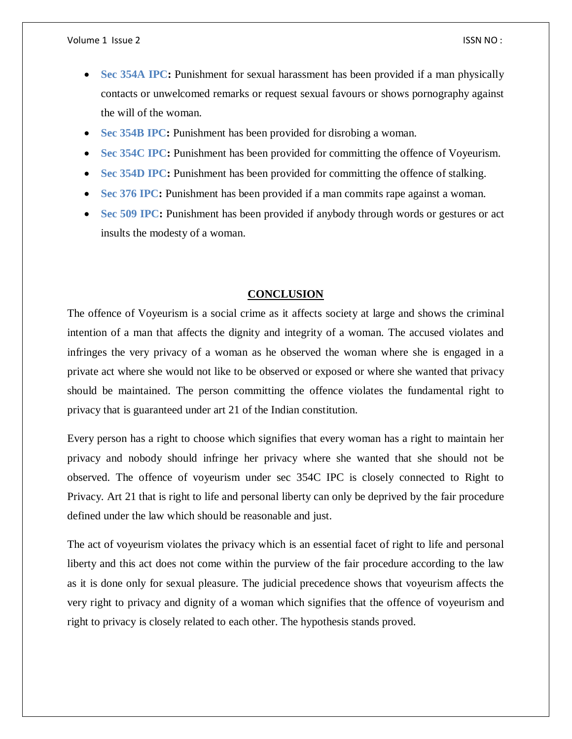- Sec 354A IPC: Punishment for sexual harassment has been provided if a man physically contacts or unwelcomed remarks or request sexual favours or shows pornography against the will of the woman.
- **Sec 354B IPC:** Punishment has been provided for disrobing a woman.
- **Sec 354C IPC:** Punishment has been provided for committing the offence of Voyeurism.
- Sec 354D IPC: Punishment has been provided for committing the offence of stalking.
- **Sec 376 IPC:** Punishment has been provided if a man commits rape against a woman.
- **Sec 509 IPC:** Punishment has been provided if anybody through words or gestures or act insults the modesty of a woman.

## **CONCLUSION**

The offence of Voyeurism is a social crime as it affects society at large and shows the criminal intention of a man that affects the dignity and integrity of a woman. The accused violates and infringes the very privacy of a woman as he observed the woman where she is engaged in a private act where she would not like to be observed or exposed or where she wanted that privacy should be maintained. The person committing the offence violates the fundamental right to privacy that is guaranteed under art 21 of the Indian constitution.

Every person has a right to choose which signifies that every woman has a right to maintain her privacy and nobody should infringe her privacy where she wanted that she should not be observed. The offence of voyeurism under sec 354C IPC is closely connected to Right to Privacy. Art 21 that is right to life and personal liberty can only be deprived by the fair procedure defined under the law which should be reasonable and just.

The act of voyeurism violates the privacy which is an essential facet of right to life and personal liberty and this act does not come within the purview of the fair procedure according to the law as it is done only for sexual pleasure. The judicial precedence shows that voyeurism affects the very right to privacy and dignity of a woman which signifies that the offence of voyeurism and right to privacy is closely related to each other. The hypothesis stands proved.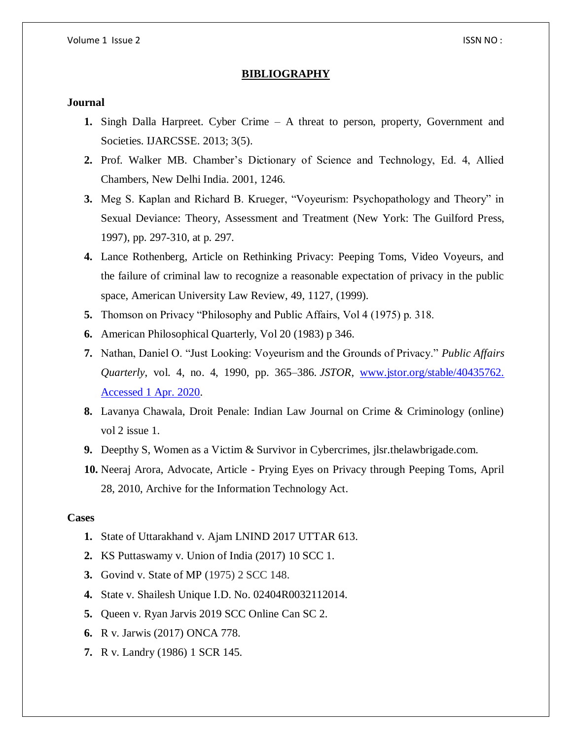## **BIBLIOGRAPHY**

# **Journal**

- **1.** Singh Dalla Harpreet. Cyber Crime A threat to person, property, Government and Societies. IJARCSSE. 2013; 3(5).
- **2.** Prof. Walker MB. Chamber's Dictionary of Science and Technology, Ed. 4, Allied Chambers, New Delhi India. 2001, 1246.
- **3.** Meg S. Kaplan and Richard B. Krueger, "Voyeurism: Psychopathology and Theory" in Sexual Deviance: Theory, Assessment and Treatment (New York: The Guilford Press, 1997), pp. 297-310, at p. 297.
- **4.** Lance Rothenberg, Article on Rethinking Privacy: Peeping Toms, Video Voyeurs, and the failure of criminal law to recognize a reasonable expectation of privacy in the public space, American University Law Review, 49, 1127, (1999).
- **5.** Thomson on Privacy "Philosophy and Public Affairs, Vol 4 (1975) p. 318.
- **6.** American Philosophical Quarterly, Vol 20 (1983) p 346.
- **7.** Nathan, Daniel O. "Just Looking: Voyeurism and the Grounds of Privacy." *Public Affairs Quarterly*, vol. 4, no. 4, 1990, pp. 365–386. *JSTOR*, [www.jstor.org/stable/40435762.](http://www.jstor.org/stable/40435762.%20Accessed%201%20Apr.%202020)  [Accessed 1 Apr. 2020.](http://www.jstor.org/stable/40435762.%20Accessed%201%20Apr.%202020)
- **8.** Lavanya Chawala, Droit Penale: Indian Law Journal on Crime & Criminology (online) vol 2 issue 1.
- **9.** Deepthy S, Women as a Victim & Survivor in Cybercrimes, jlsr.thelawbrigade.com.
- **10.** Neeraj Arora, Advocate, Article Prying Eyes on Privacy through Peeping Toms, April 28, 2010, Archive for the Information Technology Act.

## **Cases**

- **1.** State of Uttarakhand v. Ajam LNIND 2017 UTTAR 613.
- **2.** KS Puttaswamy v. Union of India (2017) 10 SCC 1.
- **3.** Govind v. State of MP (1975) 2 SCC 148.
- **4.** State v. Shailesh Unique I.D. No. 02404R0032112014.
- **5.** Queen v. Ryan Jarvis 2019 SCC Online Can SC 2.
- **6.** R v. Jarwis (2017) ONCA 778.
- **7.** R v. Landry (1986) 1 SCR 145.